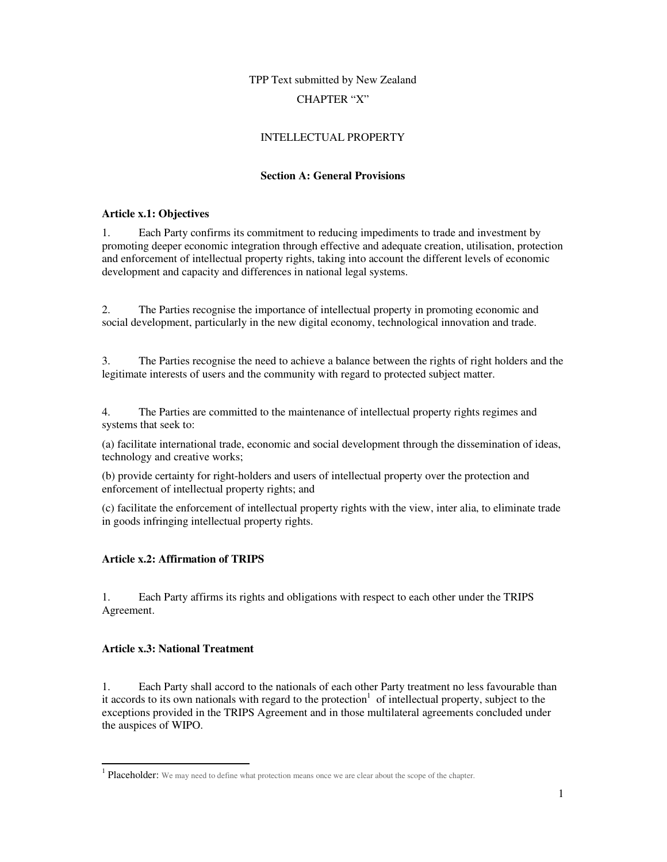# TPP Text submitted by New Zealand CHAPTER "X"

## INTELLECTUAL PROPERTY

#### **Section A: General Provisions**

#### **Article x.1: Objectives**

1. Each Party confirms its commitment to reducing impediments to trade and investment by promoting deeper economic integration through effective and adequate creation, utilisation, protection and enforcement of intellectual property rights, taking into account the different levels of economic development and capacity and differences in national legal systems.

2. The Parties recognise the importance of intellectual property in promoting economic and social development, particularly in the new digital economy, technological innovation and trade.

3. The Parties recognise the need to achieve a balance between the rights of right holders and the legitimate interests of users and the community with regard to protected subject matter.

4. The Parties are committed to the maintenance of intellectual property rights regimes and systems that seek to:

(a) facilitate international trade, economic and social development through the dissemination of ideas, technology and creative works;

(b) provide certainty for right-holders and users of intellectual property over the protection and enforcement of intellectual property rights; and

(c) facilitate the enforcement of intellectual property rights with the view, inter alia, to eliminate trade in goods infringing intellectual property rights.

## **Article x.2: Affirmation of TRIPS**

1. Each Party affirms its rights and obligations with respect to each other under the TRIPS Agreement.

#### **Article x.3: National Treatment**

-

1. Each Party shall accord to the nationals of each other Party treatment no less favourable than it accords to its own nationals with regard to the protection<sup>1</sup> of intellectual property, subject to the exceptions provided in the TRIPS Agreement and in those multilateral agreements concluded under the auspices of WIPO.

<sup>&</sup>lt;sup>1</sup> Placeholder: We may need to define what protection means once we are clear about the scope of the chapter.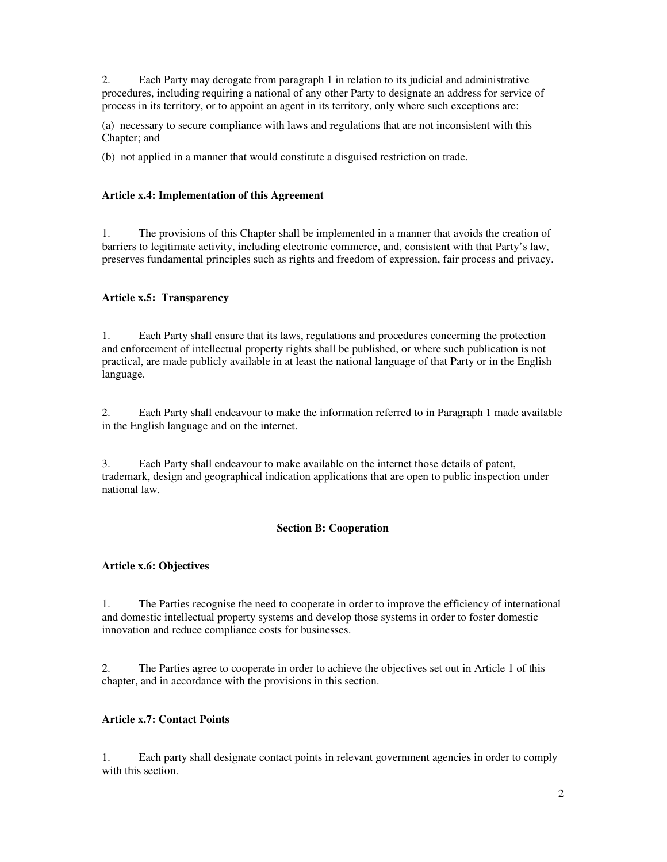2. Each Party may derogate from paragraph 1 in relation to its judicial and administrative procedures, including requiring a national of any other Party to designate an address for service of process in its territory, or to appoint an agent in its territory, only where such exceptions are:

(a) necessary to secure compliance with laws and regulations that are not inconsistent with this Chapter; and

(b) not applied in a manner that would constitute a disguised restriction on trade.

## **Article x.4: Implementation of this Agreement**

1. The provisions of this Chapter shall be implemented in a manner that avoids the creation of barriers to legitimate activity, including electronic commerce, and, consistent with that Party's law, preserves fundamental principles such as rights and freedom of expression, fair process and privacy.

## **Article x.5: Transparency**

1. Each Party shall ensure that its laws, regulations and procedures concerning the protection and enforcement of intellectual property rights shall be published, or where such publication is not practical, are made publicly available in at least the national language of that Party or in the English language.

2. Each Party shall endeavour to make the information referred to in Paragraph 1 made available in the English language and on the internet.

3. Each Party shall endeavour to make available on the internet those details of patent, trademark, design and geographical indication applications that are open to public inspection under national law.

## **Section B: Cooperation**

## **Article x.6: Objectives**

1. The Parties recognise the need to cooperate in order to improve the efficiency of international and domestic intellectual property systems and develop those systems in order to foster domestic innovation and reduce compliance costs for businesses.

2. The Parties agree to cooperate in order to achieve the objectives set out in Article 1 of this chapter, and in accordance with the provisions in this section.

## **Article x.7: Contact Points**

1. Each party shall designate contact points in relevant government agencies in order to comply with this section.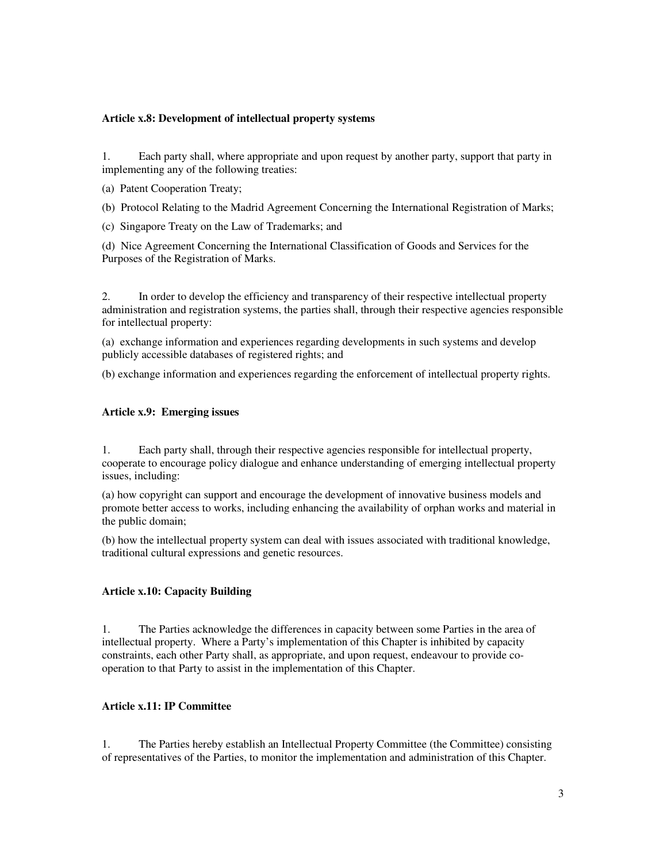#### **Article x.8: Development of intellectual property systems**

1. Each party shall, where appropriate and upon request by another party, support that party in implementing any of the following treaties:

- (a) Patent Cooperation Treaty;
- (b) Protocol Relating to the Madrid Agreement Concerning the International Registration of Marks;
- (c) Singapore Treaty on the Law of Trademarks; and

(d) Nice Agreement Concerning the International Classification of Goods and Services for the Purposes of the Registration of Marks.

2. In order to develop the efficiency and transparency of their respective intellectual property administration and registration systems, the parties shall, through their respective agencies responsible for intellectual property:

(a) exchange information and experiences regarding developments in such systems and develop publicly accessible databases of registered rights; and

(b) exchange information and experiences regarding the enforcement of intellectual property rights.

#### **Article x.9: Emerging issues**

1. Each party shall, through their respective agencies responsible for intellectual property, cooperate to encourage policy dialogue and enhance understanding of emerging intellectual property issues, including:

(a) how copyright can support and encourage the development of innovative business models and promote better access to works, including enhancing the availability of orphan works and material in the public domain;

(b) how the intellectual property system can deal with issues associated with traditional knowledge, traditional cultural expressions and genetic resources.

## **Article x.10: Capacity Building**

1. The Parties acknowledge the differences in capacity between some Parties in the area of intellectual property. Where a Party's implementation of this Chapter is inhibited by capacity constraints, each other Party shall, as appropriate, and upon request, endeavour to provide cooperation to that Party to assist in the implementation of this Chapter.

## **Article x.11: IP Committee**

1. The Parties hereby establish an Intellectual Property Committee (the Committee) consisting of representatives of the Parties, to monitor the implementation and administration of this Chapter.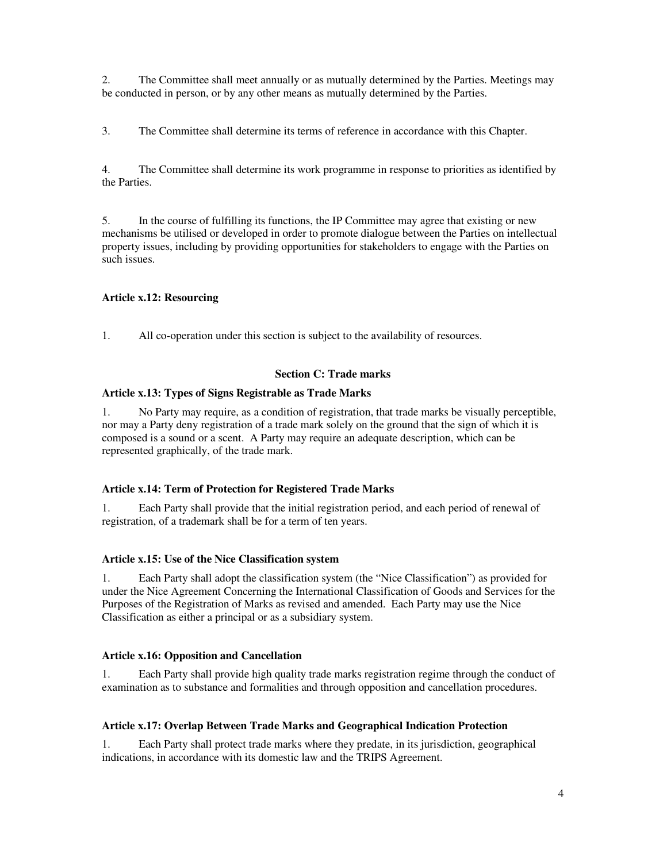2. The Committee shall meet annually or as mutually determined by the Parties. Meetings may be conducted in person, or by any other means as mutually determined by the Parties.

3. The Committee shall determine its terms of reference in accordance with this Chapter.

4. The Committee shall determine its work programme in response to priorities as identified by the Parties.

5. In the course of fulfilling its functions, the IP Committee may agree that existing or new mechanisms be utilised or developed in order to promote dialogue between the Parties on intellectual property issues, including by providing opportunities for stakeholders to engage with the Parties on such issues.

## **Article x.12: Resourcing**

1. All co-operation under this section is subject to the availability of resources.

## **Section C: Trade marks**

## **Article x.13: Types of Signs Registrable as Trade Marks**

1. No Party may require, as a condition of registration, that trade marks be visually perceptible, nor may a Party deny registration of a trade mark solely on the ground that the sign of which it is composed is a sound or a scent. A Party may require an adequate description, which can be represented graphically, of the trade mark.

## **Article x.14: Term of Protection for Registered Trade Marks**

1. Each Party shall provide that the initial registration period, and each period of renewal of registration, of a trademark shall be for a term of ten years.

## **Article x.15: Use of the Nice Classification system**

1. Each Party shall adopt the classification system (the "Nice Classification") as provided for under the Nice Agreement Concerning the International Classification of Goods and Services for the Purposes of the Registration of Marks as revised and amended. Each Party may use the Nice Classification as either a principal or as a subsidiary system.

## **Article x.16: Opposition and Cancellation**

1. Each Party shall provide high quality trade marks registration regime through the conduct of examination as to substance and formalities and through opposition and cancellation procedures.

## **Article x.17: Overlap Between Trade Marks and Geographical Indication Protection**

1. Each Party shall protect trade marks where they predate, in its jurisdiction, geographical indications, in accordance with its domestic law and the TRIPS Agreement.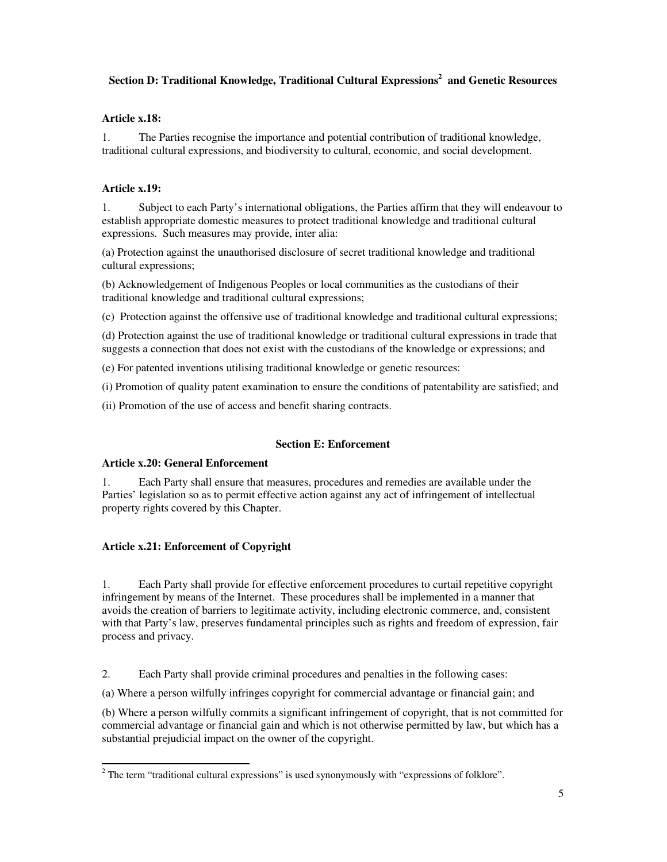## **Section D: Traditional Knowledge, Traditional Cultural Expressions<sup>2</sup> and Genetic Resources**

## **Article x.18:**

1. The Parties recognise the importance and potential contribution of traditional knowledge, traditional cultural expressions, and biodiversity to cultural, economic, and social development.

## **Article x.19:**

1. Subject to each Party's international obligations, the Parties affirm that they will endeavour to establish appropriate domestic measures to protect traditional knowledge and traditional cultural expressions. Such measures may provide, inter alia:

(a) Protection against the unauthorised disclosure of secret traditional knowledge and traditional cultural expressions;

(b) Acknowledgement of Indigenous Peoples or local communities as the custodians of their traditional knowledge and traditional cultural expressions;

(c) Protection against the offensive use of traditional knowledge and traditional cultural expressions;

(d) Protection against the use of traditional knowledge or traditional cultural expressions in trade that suggests a connection that does not exist with the custodians of the knowledge or expressions; and

(e) For patented inventions utilising traditional knowledge or genetic resources:

(i) Promotion of quality patent examination to ensure the conditions of patentability are satisfied; and

(ii) Promotion of the use of access and benefit sharing contracts.

## **Section E: Enforcement**

## **Article x.20: General Enforcement**

1. Each Party shall ensure that measures, procedures and remedies are available under the Parties' legislation so as to permit effective action against any act of infringement of intellectual property rights covered by this Chapter.

## **Article x.21: Enforcement of Copyright**

1. Each Party shall provide for effective enforcement procedures to curtail repetitive copyright infringement by means of the Internet. These procedures shall be implemented in a manner that avoids the creation of barriers to legitimate activity, including electronic commerce, and, consistent with that Party's law, preserves fundamental principles such as rights and freedom of expression, fair process and privacy.

2. Each Party shall provide criminal procedures and penalties in the following cases:

(a) Where a person wilfully infringes copyright for commercial advantage or financial gain; and

(b) Where a person wilfully commits a significant infringement of copyright, that is not committed for commercial advantage or financial gain and which is not otherwise permitted by law, but which has a substantial prejudicial impact on the owner of the copyright.

The term "traditional cultural expressions" is used synonymously with "expressions of folklore".